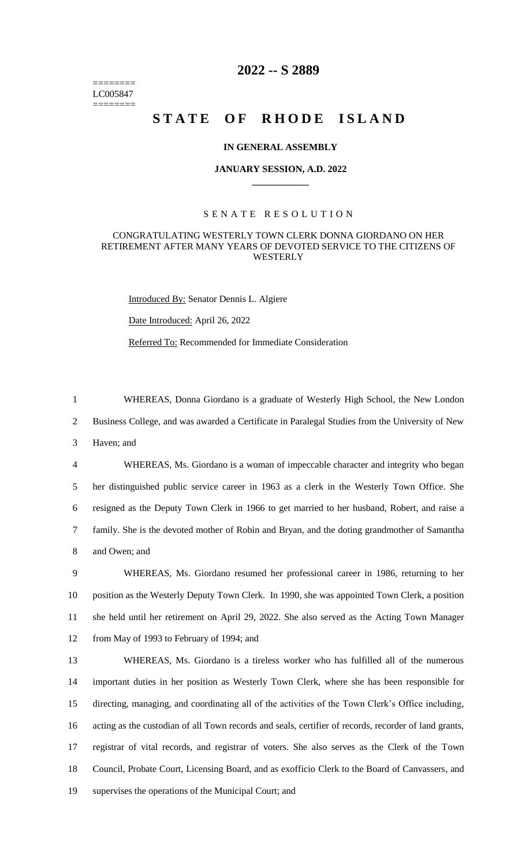======== LC005847 ========

# **2022 -- S 2889**

# STATE OF RHODE ISLAND

# **IN GENERAL ASSEMBLY**

#### **JANUARY SESSION, A.D. 2022 \_\_\_\_\_\_\_\_\_\_\_\_**

# S E N A T E R E S O L U T I O N

# CONGRATULATING WESTERLY TOWN CLERK DONNA GIORDANO ON HER RETIREMENT AFTER MANY YEARS OF DEVOTED SERVICE TO THE CITIZENS OF WESTERLY

Introduced By: Senator Dennis L. Algiere

Date Introduced: April 26, 2022

Referred To: Recommended for Immediate Consideration

1 WHEREAS, Donna Giordano is a graduate of Westerly High School, the New London

2 Business College, and was awarded a Certificate in Paralegal Studies from the University of New

3 Haven; and

 WHEREAS, Ms. Giordano is a woman of impeccable character and integrity who began her distinguished public service career in 1963 as a clerk in the Westerly Town Office. She resigned as the Deputy Town Clerk in 1966 to get married to her husband, Robert, and raise a family. She is the devoted mother of Robin and Bryan, and the doting grandmother of Samantha and Owen; and

 WHEREAS, Ms. Giordano resumed her professional career in 1986, returning to her position as the Westerly Deputy Town Clerk. In 1990, she was appointed Town Clerk, a position she held until her retirement on April 29, 2022. She also served as the Acting Town Manager from May of 1993 to February of 1994; and

 WHEREAS, Ms. Giordano is a tireless worker who has fulfilled all of the numerous important duties in her position as Westerly Town Clerk, where she has been responsible for directing, managing, and coordinating all of the activities of the Town Clerk's Office including, acting as the custodian of all Town records and seals, certifier of records, recorder of land grants, registrar of vital records, and registrar of voters. She also serves as the Clerk of the Town Council, Probate Court, Licensing Board, and as exofficio Clerk to the Board of Canvassers, and supervises the operations of the Municipal Court; and